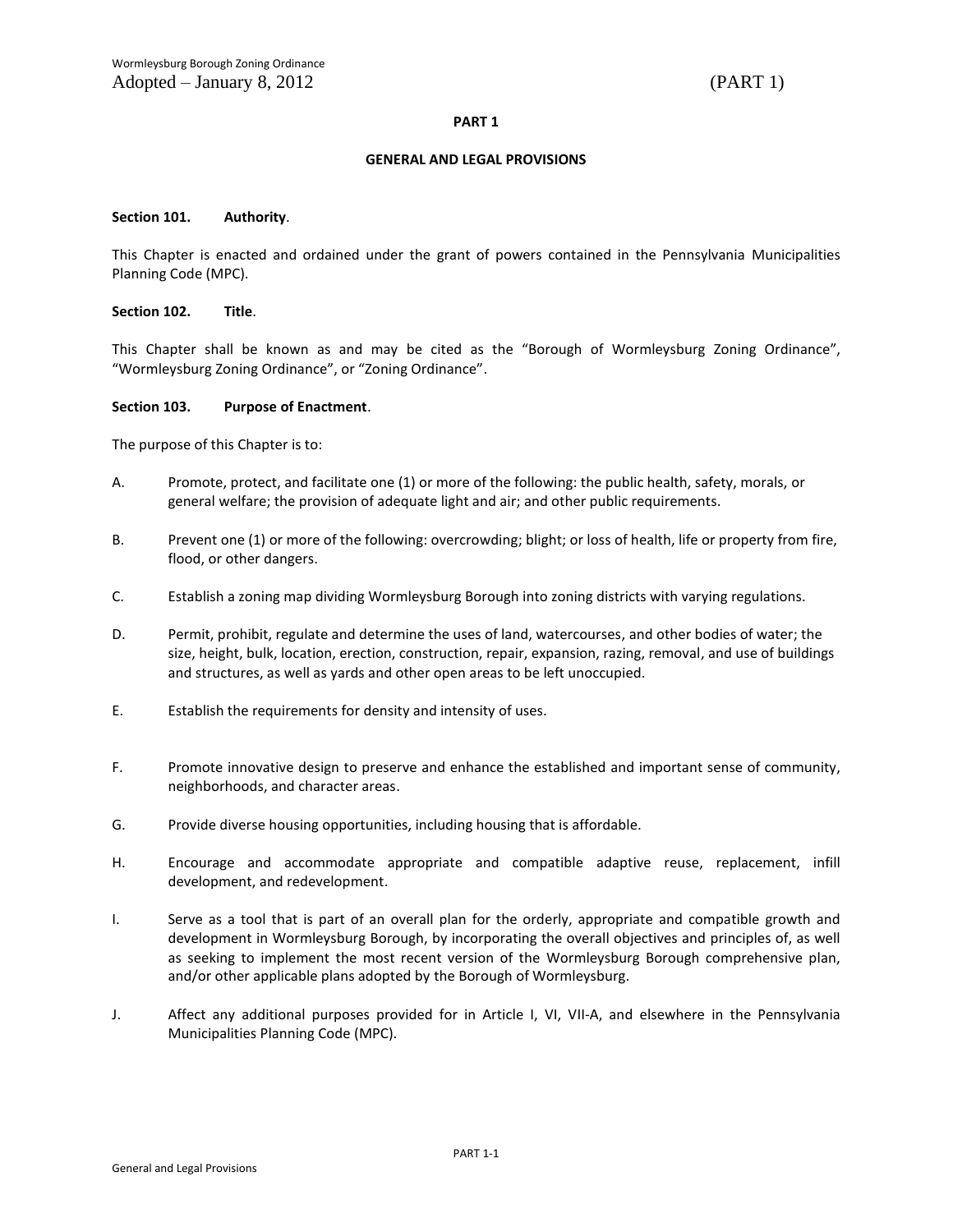### **PART 1**

#### **GENERAL AND LEGAL PROVISIONS**

#### **Section 101. Authority**.

This Chapter is enacted and ordained under the grant of powers contained in the Pennsylvania Municipalities Planning Code (MPC).

### **Section 102. Title**.

This Chapter shall be known as and may be cited as the "Borough of Wormleysburg Zoning Ordinance", "Wormleysburg Zoning Ordinance", or "Zoning Ordinance".

### **Section 103. Purpose of Enactment**.

The purpose of this Chapter is to:

- A. Promote, protect, and facilitate one (1) or more of the following: the public health, safety, morals, or general welfare; the provision of adequate light and air; and other public requirements.
- B. Prevent one (1) or more of the following: overcrowding; blight; or loss of health, life or property from fire, flood, or other dangers.
- C. Establish a zoning map dividing Wormleysburg Borough into zoning districts with varying regulations.
- D. Permit, prohibit, regulate and determine the uses of land, watercourses, and other bodies of water; the size, height, bulk, location, erection, construction, repair, expansion, razing, removal, and use of buildings and structures, as well as yards and other open areas to be left unoccupied.
- E. Establish the requirements for density and intensity of uses.
- F. Promote innovative design to preserve and enhance the established and important sense of community, neighborhoods, and character areas.
- G. Provide diverse housing opportunities, including housing that is affordable.
- H. Encourage and accommodate appropriate and compatible adaptive reuse, replacement, infill development, and redevelopment.
- I. Serve as a tool that is part of an overall plan for the orderly, appropriate and compatible growth and development in Wormleysburg Borough, by incorporating the overall objectives and principles of, as well as seeking to implement the most recent version of the Wormleysburg Borough comprehensive plan, and/or other applicable plans adopted by the Borough of Wormleysburg.
- J. Affect any additional purposes provided for in Article I, VI, VII-A, and elsewhere in the Pennsylvania Municipalities Planning Code (MPC).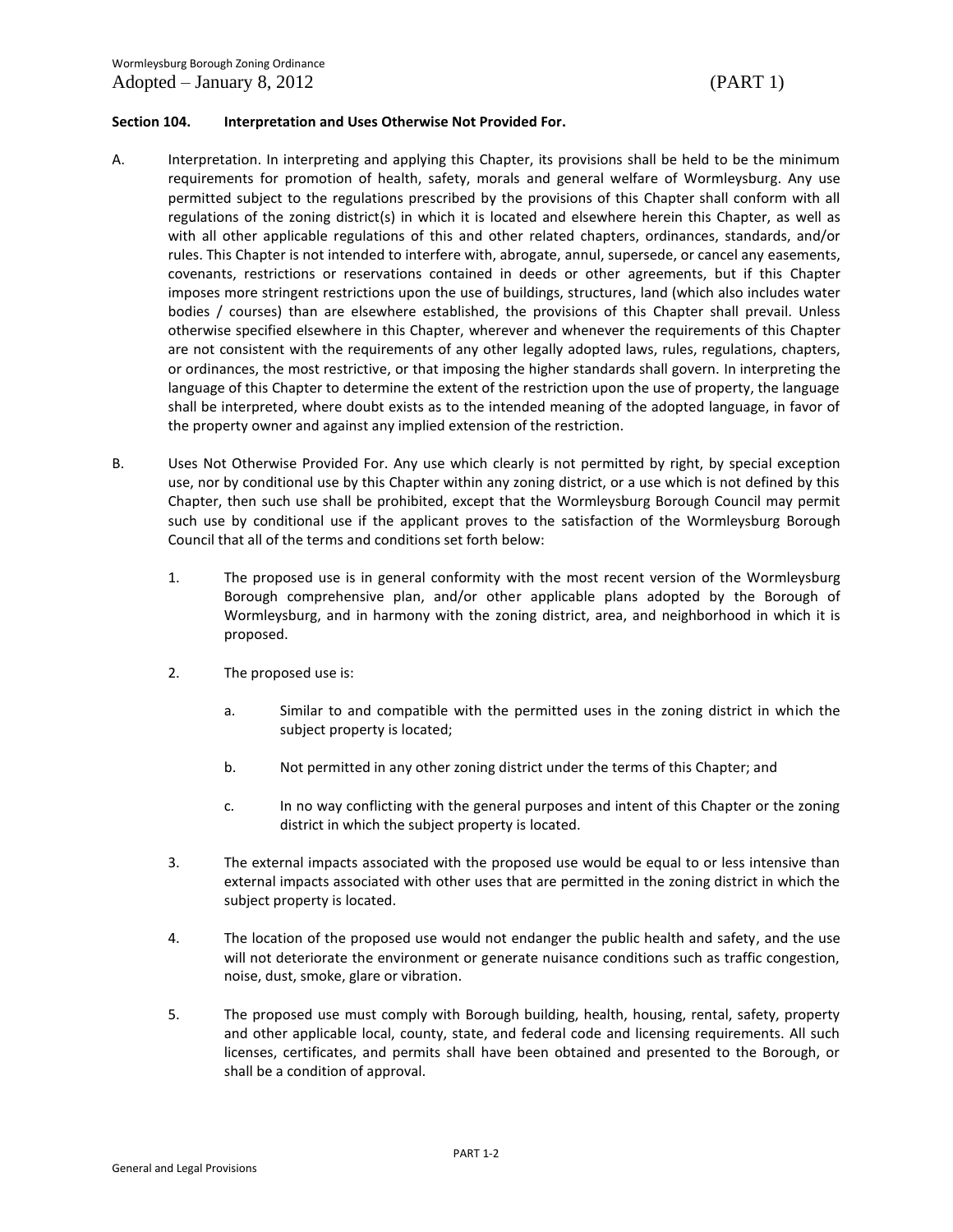### **Section 104. Interpretation and Uses Otherwise Not Provided For.**

- A. Interpretation. In interpreting and applying this Chapter, its provisions shall be held to be the minimum requirements for promotion of health, safety, morals and general welfare of Wormleysburg. Any use permitted subject to the regulations prescribed by the provisions of this Chapter shall conform with all regulations of the zoning district(s) in which it is located and elsewhere herein this Chapter, as well as with all other applicable regulations of this and other related chapters, ordinances, standards, and/or rules. This Chapter is not intended to interfere with, abrogate, annul, supersede, or cancel any easements, covenants, restrictions or reservations contained in deeds or other agreements, but if this Chapter imposes more stringent restrictions upon the use of buildings, structures, land (which also includes water bodies / courses) than are elsewhere established, the provisions of this Chapter shall prevail. Unless otherwise specified elsewhere in this Chapter, wherever and whenever the requirements of this Chapter are not consistent with the requirements of any other legally adopted laws, rules, regulations, chapters, or ordinances, the most restrictive, or that imposing the higher standards shall govern. In interpreting the language of this Chapter to determine the extent of the restriction upon the use of property, the language shall be interpreted, where doubt exists as to the intended meaning of the adopted language, in favor of the property owner and against any implied extension of the restriction.
- B. Uses Not Otherwise Provided For. Any use which clearly is not permitted by right, by special exception use, nor by conditional use by this Chapter within any zoning district, or a use which is not defined by this Chapter, then such use shall be prohibited, except that the Wormleysburg Borough Council may permit such use by conditional use if the applicant proves to the satisfaction of the Wormleysburg Borough Council that all of the terms and conditions set forth below:
	- 1. The proposed use is in general conformity with the most recent version of the Wormleysburg Borough comprehensive plan, and/or other applicable plans adopted by the Borough of Wormleysburg, and in harmony with the zoning district, area, and neighborhood in which it is proposed.
	- 2. The proposed use is:
		- a. Similar to and compatible with the permitted uses in the zoning district in which the subject property is located;
		- b. Not permitted in any other zoning district under the terms of this Chapter; and
		- c. In no way conflicting with the general purposes and intent of this Chapter or the zoning district in which the subject property is located.
	- 3. The external impacts associated with the proposed use would be equal to or less intensive than external impacts associated with other uses that are permitted in the zoning district in which the subject property is located.
	- 4. The location of the proposed use would not endanger the public health and safety, and the use will not deteriorate the environment or generate nuisance conditions such as traffic congestion, noise, dust, smoke, glare or vibration.
	- 5. The proposed use must comply with Borough building, health, housing, rental, safety, property and other applicable local, county, state, and federal code and licensing requirements. All such licenses, certificates, and permits shall have been obtained and presented to the Borough, or shall be a condition of approval.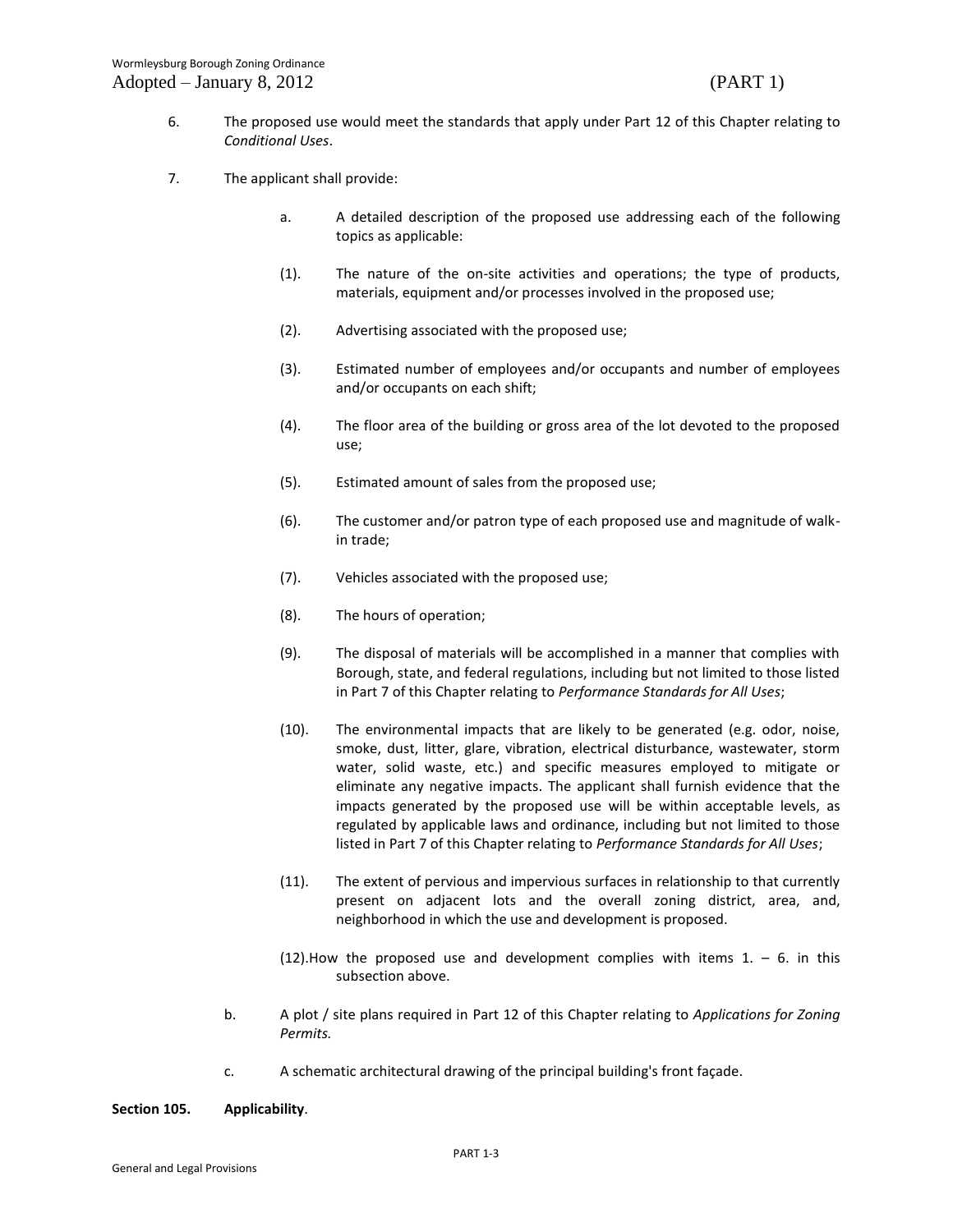- 6. The proposed use would meet the standards that apply under Part 12 of this Chapter relating to *Conditional Uses*.
- 7. The applicant shall provide:
	- a. A detailed description of the proposed use addressing each of the following topics as applicable:
	- (1). The nature of the on-site activities and operations; the type of products, materials, equipment and/or processes involved in the proposed use;
	- (2). Advertising associated with the proposed use;
	- (3). Estimated number of employees and/or occupants and number of employees and/or occupants on each shift;
	- (4). The floor area of the building or gross area of the lot devoted to the proposed use;
	- (5). Estimated amount of sales from the proposed use;
	- (6). The customer and/or patron type of each proposed use and magnitude of walkin trade;
	- (7). Vehicles associated with the proposed use;
	- (8). The hours of operation;
	- (9). The disposal of materials will be accomplished in a manner that complies with Borough, state, and federal regulations, including but not limited to those listed in Part 7 of this Chapter relating to *Performance Standards for All Uses*;
	- (10). The environmental impacts that are likely to be generated (e.g. odor, noise, smoke, dust, litter, glare, vibration, electrical disturbance, wastewater, storm water, solid waste, etc.) and specific measures employed to mitigate or eliminate any negative impacts. The applicant shall furnish evidence that the impacts generated by the proposed use will be within acceptable levels, as regulated by applicable laws and ordinance, including but not limited to those listed in Part 7 of this Chapter relating to *Performance Standards for All Uses*;
	- (11). The extent of pervious and impervious surfaces in relationship to that currently present on adjacent lots and the overall zoning district, area, and, neighborhood in which the use and development is proposed.
	- (12). How the proposed use and development complies with items  $1. 6$ . in this subsection above.
	- b. A plot / site plans required in Part 12 of this Chapter relating to *Applications for Zoning Permits.*
	- c. A schematic architectural drawing of the principal building's front façade.

### **Section 105. Applicability**.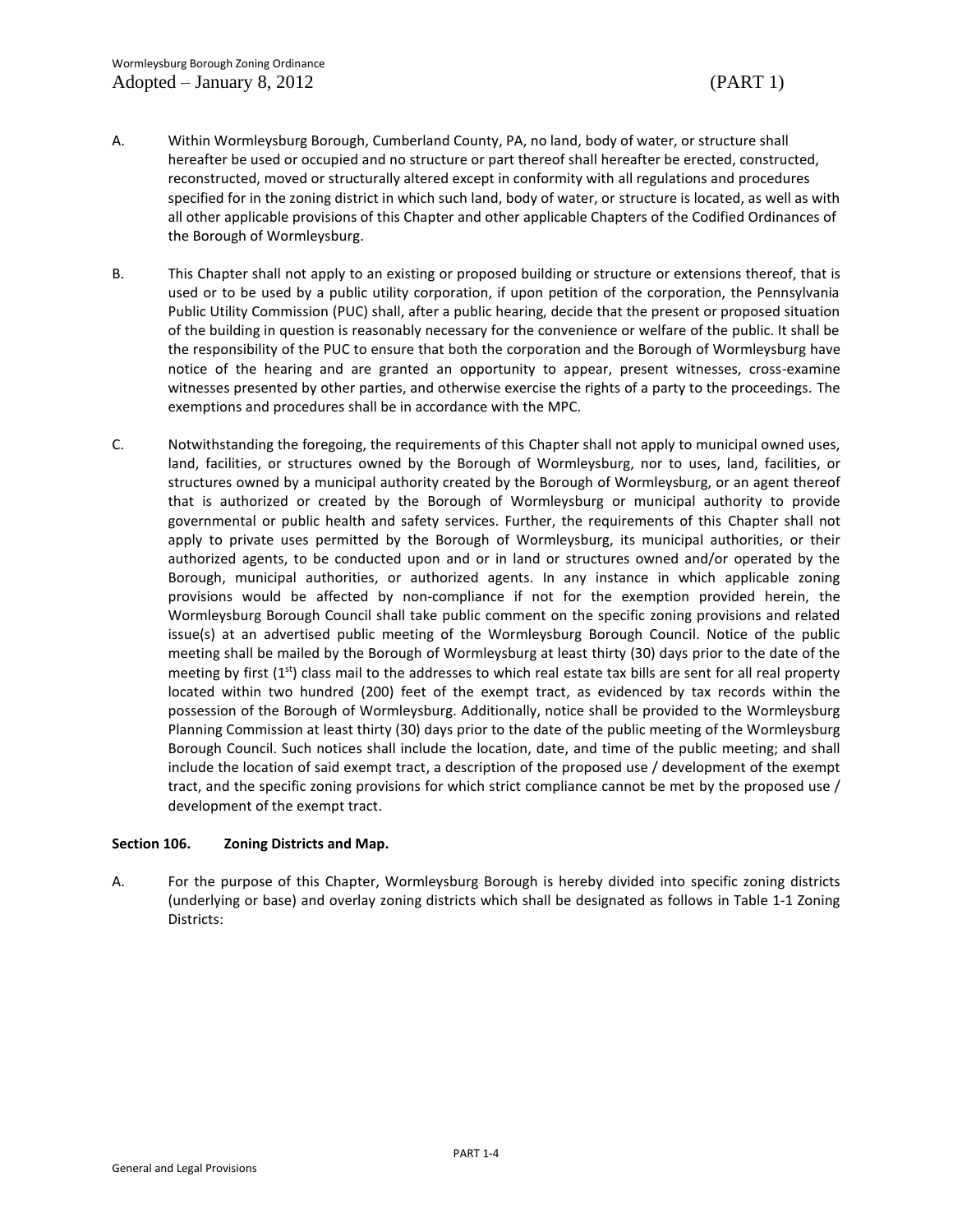- A. Within Wormleysburg Borough, Cumberland County, PA, no land, body of water, or structure shall hereafter be used or occupied and no structure or part thereof shall hereafter be erected, constructed, reconstructed, moved or structurally altered except in conformity with all regulations and procedures specified for in the zoning district in which such land, body of water, or structure is located, as well as with all other applicable provisions of this Chapter and other applicable Chapters of the Codified Ordinances of the Borough of Wormleysburg.
- B. This Chapter shall not apply to an existing or proposed building or structure or extensions thereof, that is used or to be used by a public utility corporation, if upon petition of the corporation, the Pennsylvania Public Utility Commission (PUC) shall, after a public hearing, decide that the present or proposed situation of the building in question is reasonably necessary for the convenience or welfare of the public. It shall be the responsibility of the PUC to ensure that both the corporation and the Borough of Wormleysburg have notice of the hearing and are granted an opportunity to appear, present witnesses, cross-examine witnesses presented by other parties, and otherwise exercise the rights of a party to the proceedings. The exemptions and procedures shall be in accordance with the MPC.
- C. Notwithstanding the foregoing, the requirements of this Chapter shall not apply to municipal owned uses, land, facilities, or structures owned by the Borough of Wormleysburg, nor to uses, land, facilities, or structures owned by a municipal authority created by the Borough of Wormleysburg, or an agent thereof that is authorized or created by the Borough of Wormleysburg or municipal authority to provide governmental or public health and safety services. Further, the requirements of this Chapter shall not apply to private uses permitted by the Borough of Wormleysburg, its municipal authorities, or their authorized agents, to be conducted upon and or in land or structures owned and/or operated by the Borough, municipal authorities, or authorized agents. In any instance in which applicable zoning provisions would be affected by non-compliance if not for the exemption provided herein, the Wormleysburg Borough Council shall take public comment on the specific zoning provisions and related issue(s) at an advertised public meeting of the Wormleysburg Borough Council. Notice of the public meeting shall be mailed by the Borough of Wormleysburg at least thirty (30) days prior to the date of the meeting by first  $(1<sup>st</sup>)$  class mail to the addresses to which real estate tax bills are sent for all real property located within two hundred (200) feet of the exempt tract, as evidenced by tax records within the possession of the Borough of Wormleysburg. Additionally, notice shall be provided to the Wormleysburg Planning Commission at least thirty (30) days prior to the date of the public meeting of the Wormleysburg Borough Council. Such notices shall include the location, date, and time of the public meeting; and shall include the location of said exempt tract, a description of the proposed use / development of the exempt tract, and the specific zoning provisions for which strict compliance cannot be met by the proposed use / development of the exempt tract.

# **Section 106. Zoning Districts and Map.**

A. For the purpose of this Chapter, Wormleysburg Borough is hereby divided into specific zoning districts (underlying or base) and overlay zoning districts which shall be designated as follows in Table 1-1 Zoning Districts: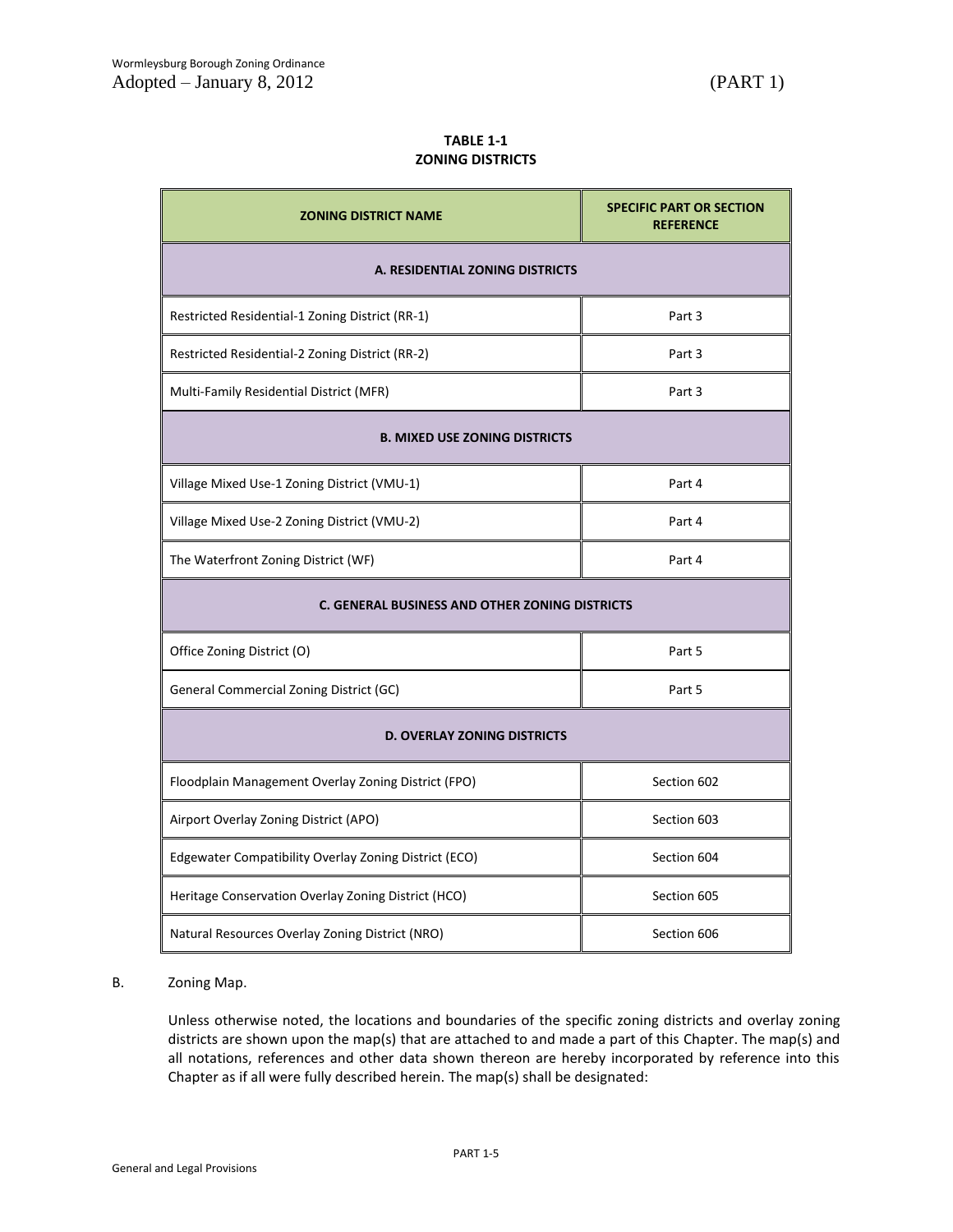# **TABLE 1-1 ZONING DISTRICTS**

| <b>ZONING DISTRICT NAME</b>                           | <b>SPECIFIC PART OR SECTION</b><br><b>REFERENCE</b> |
|-------------------------------------------------------|-----------------------------------------------------|
| A. RESIDENTIAL ZONING DISTRICTS                       |                                                     |
| Restricted Residential-1 Zoning District (RR-1)       | Part 3                                              |
| Restricted Residential-2 Zoning District (RR-2)       | Part 3                                              |
| Multi-Family Residential District (MFR)               | Part 3                                              |
| <b>B. MIXED USE ZONING DISTRICTS</b>                  |                                                     |
| Village Mixed Use-1 Zoning District (VMU-1)           | Part 4                                              |
| Village Mixed Use-2 Zoning District (VMU-2)           | Part 4                                              |
| The Waterfront Zoning District (WF)                   | Part 4                                              |
| <b>C. GENERAL BUSINESS AND OTHER ZONING DISTRICTS</b> |                                                     |
| Office Zoning District (O)                            | Part 5                                              |
| General Commercial Zoning District (GC)               | Part 5                                              |
| <b>D. OVERLAY ZONING DISTRICTS</b>                    |                                                     |
| Floodplain Management Overlay Zoning District (FPO)   | Section 602                                         |
| Airport Overlay Zoning District (APO)                 | Section 603                                         |
| Edgewater Compatibility Overlay Zoning District (ECO) | Section 604                                         |
| Heritage Conservation Overlay Zoning District (HCO)   | Section 605                                         |
| Natural Resources Overlay Zoning District (NRO)       | Section 606                                         |

# B. Zoning Map.

Unless otherwise noted, the locations and boundaries of the specific zoning districts and overlay zoning districts are shown upon the map(s) that are attached to and made a part of this Chapter. The map(s) and all notations, references and other data shown thereon are hereby incorporated by reference into this Chapter as if all were fully described herein. The map(s) shall be designated: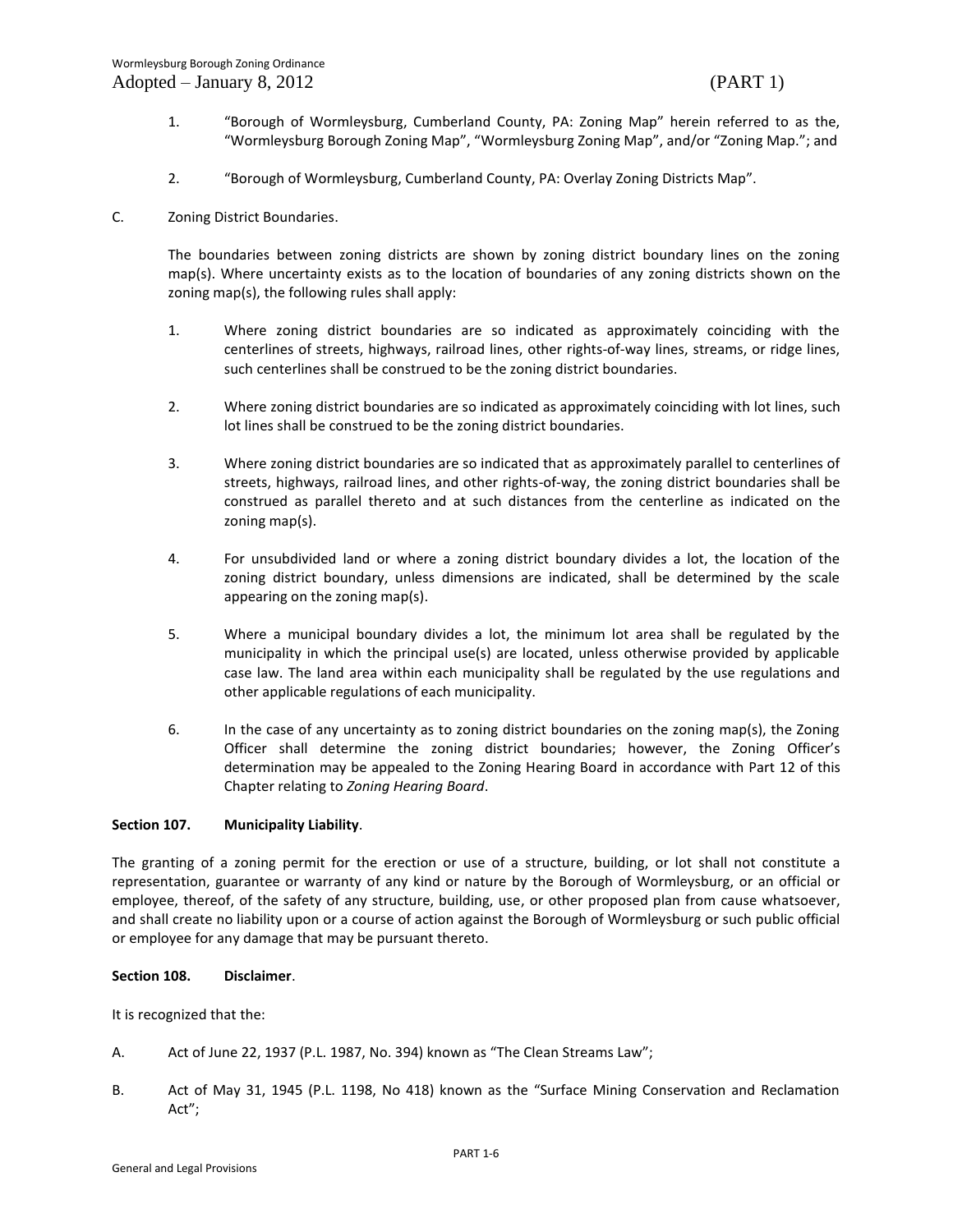- 1. "Borough of Wormleysburg, Cumberland County, PA: Zoning Map" herein referred to as the, "Wormleysburg Borough Zoning Map", "Wormleysburg Zoning Map", and/or "Zoning Map."; and
- 2. "Borough of Wormleysburg, Cumberland County, PA: Overlay Zoning Districts Map".
- C. Zoning District Boundaries.

The boundaries between zoning districts are shown by zoning district boundary lines on the zoning map(s). Where uncertainty exists as to the location of boundaries of any zoning districts shown on the zoning map(s), the following rules shall apply:

- 1. Where zoning district boundaries are so indicated as approximately coinciding with the centerlines of streets, highways, railroad lines, other rights-of-way lines, streams, or ridge lines, such centerlines shall be construed to be the zoning district boundaries.
- 2. Where zoning district boundaries are so indicated as approximately coinciding with lot lines, such lot lines shall be construed to be the zoning district boundaries.
- 3. Where zoning district boundaries are so indicated that as approximately parallel to centerlines of streets, highways, railroad lines, and other rights-of-way, the zoning district boundaries shall be construed as parallel thereto and at such distances from the centerline as indicated on the zoning map(s).
- 4. For unsubdivided land or where a zoning district boundary divides a lot, the location of the zoning district boundary, unless dimensions are indicated, shall be determined by the scale appearing on the zoning map(s).
- 5. Where a municipal boundary divides a lot, the minimum lot area shall be regulated by the municipality in which the principal use(s) are located, unless otherwise provided by applicable case law. The land area within each municipality shall be regulated by the use regulations and other applicable regulations of each municipality.
- 6. In the case of any uncertainty as to zoning district boundaries on the zoning map(s), the Zoning Officer shall determine the zoning district boundaries; however, the Zoning Officer's determination may be appealed to the Zoning Hearing Board in accordance with Part 12 of this Chapter relating to *Zoning Hearing Board*.

### **Section 107. Municipality Liability**.

The granting of a zoning permit for the erection or use of a structure, building, or lot shall not constitute a representation, guarantee or warranty of any kind or nature by the Borough of Wormleysburg, or an official or employee, thereof, of the safety of any structure, building, use, or other proposed plan from cause whatsoever, and shall create no liability upon or a course of action against the Borough of Wormleysburg or such public official or employee for any damage that may be pursuant thereto.

### **Section 108. Disclaimer**.

It is recognized that the:

- A. Act of June 22, 1937 (P.L. 1987, No. 394) known as "The Clean Streams Law";
- B. Act of May 31, 1945 (P.L. 1198, No 418) known as the "Surface Mining Conservation and Reclamation Act";